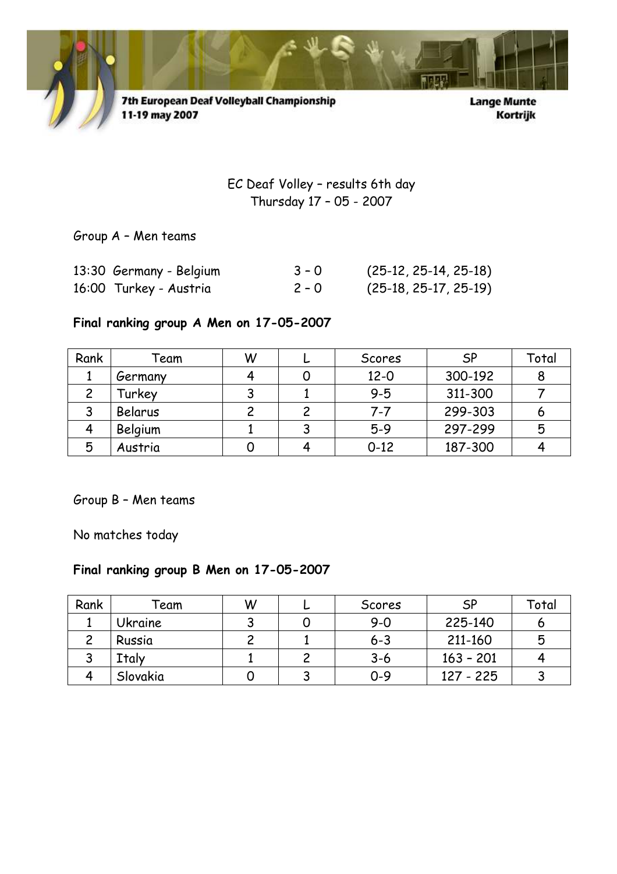

7th European Deaf Volleyball Championship 11-19 may 2007

**Lange Munte** Kortrijk

EC Deaf Volley – results 6th day Thursday 17 – 05 - 2007

Group A – Men teams

| 13:30 Germany - Belgium | $3 - 0$ | $(25-12, 25-14, 25-18)$ |
|-------------------------|---------|-------------------------|
| 16:00 Turkey - Austria  | $2 - 0$ | $(25-18, 25-17, 25-19)$ |

## Final ranking group A Men on 17-05-2007

| Rank | Feam    | W | Scores   | <b>SP</b> | Total |
|------|---------|---|----------|-----------|-------|
|      | Germany |   | $12 - 0$ | 300-192   | 8     |
|      | Turkey  |   | $9 - 5$  | 311-300   |       |
|      | Belarus |   | $7 - 7$  | 299-303   | O     |
|      | Belgium |   | $5-9$    | 297-299   | 5     |
| 5    | Austria |   | $0 - 12$ | 187-300   |       |

Group B – Men teams

No matches today

## Final ranking group B Men on 17-05-2007

| Rank | <sup>-</sup> eam | W | Scores  | SP          | Total |
|------|------------------|---|---------|-------------|-------|
|      | <b>Ukraine</b>   |   | $9 - 0$ | 225-140     | O     |
|      | Russia           |   | $6 - 3$ | 211-160     | 5     |
|      | Italy            |   | $3 - 6$ | $163 - 201$ |       |
|      | Slovakia         |   | $0 - 9$ | 127 - 225   |       |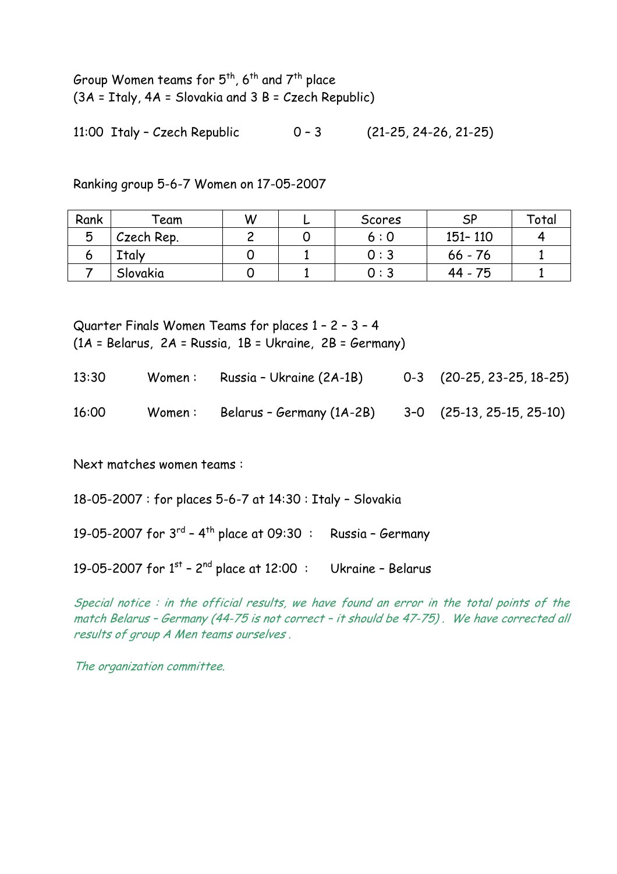Group Women teams for  $5^{th}$ ,  $6^{th}$  and  $7^{th}$  place (3A = Italy, 4A = Slovakia and 3 B = Czech Republic)

11:00 Italy – Czech Republic 0 – 3 (21-25, 24-26, 21-25)

Ranking group 5-6-7 Women on 17-05-2007

| Rank | Team       | W | Scores | ςp        | Total |
|------|------------|---|--------|-----------|-------|
| ັ    | Czech Rep. |   | 6:0    | 151-110   |       |
|      | Italv      |   | 0:3    | $66 - 76$ |       |
|      | Slovakia   |   | 0 : 3  | 44 - 75   |       |

Quarter Finals Women Teams for places 1 – 2 – 3 – 4 (1A = Belarus, 2A = Russia, 1B = Ukraine, 2B = Germany)

| 13:30 | Women : | Russia - Ukraine (2A-1B)  | $0-3$ $(20-25, 23-25, 18-25)$ |
|-------|---------|---------------------------|-------------------------------|
| 16:00 | Women : | Belarus - Germany (1A-2B) | 3-0 (25-13, 25-15, 25-10)     |

Next matches women teams :

18-05-2007 : for places 5-6-7 at 14:30 : Italy – Slovakia

19-05-2007 for  $3^{rd}$  -  $4^{th}$  place at 09:30 : Russia - Germany

19-05-2007 for  $1^{st}$  –  $2^{nd}$  place at 12:00 : Ukraine – Belarus

Special notice : in the official results, we have found an error in the total points of the match Belarus – Germany (44-75 is not correct – it should be 47-75) . We have corrected all results of group A Men teams ourselves .

The organization committee.